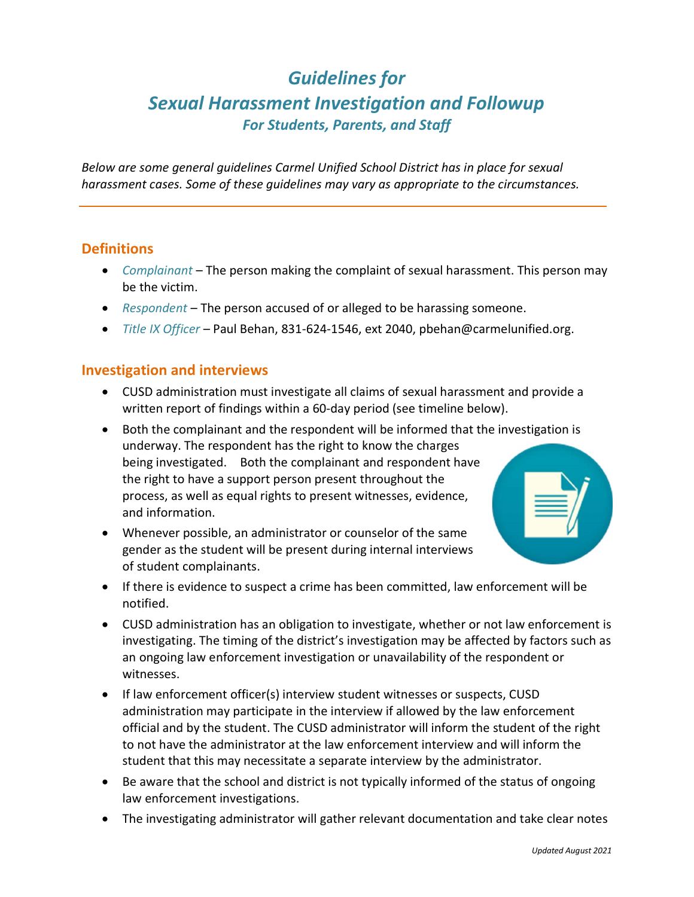# Guidelines for Sexual Harassment Investigation and Followup For Students, Parents, and Staff

Below are some general guidelines Carmel Unified School District has in place for sexual harassment cases. Some of these guidelines may vary as appropriate to the circumstances.

### **Definitions**

- Complainant The person making the complaint of sexual harassment. This person may be the victim.
- Respondent The person accused of or alleged to be harassing someone.
- Title IX Officer Paul Behan, 831-624-1546, ext 2040, pbehan@carmelunified.org.

#### Investigation and interviews

- CUSD administration must investigate all claims of sexual harassment and provide a written report of findings within a 60-day period (see timeline below).
- Both the complainant and the respondent will be informed that the investigation is underway. The respondent has the right to know the charges being investigated. Both the complainant and respondent have the right to have a support person present throughout the process, as well as equal rights to present witnesses, evidence, and information.
- Whenever possible, an administrator or counselor of the same gender as the student will be present during internal interviews of student complainants.



- If there is evidence to suspect a crime has been committed, law enforcement will be notified.
- CUSD administration has an obligation to investigate, whether or not law enforcement is investigating. The timing of the district's investigation may be affected by factors such as an ongoing law enforcement investigation or unavailability of the respondent or witnesses.
- If law enforcement officer(s) interview student witnesses or suspects, CUSD administration may participate in the interview if allowed by the law enforcement official and by the student. The CUSD administrator will inform the student of the right to not have the administrator at the law enforcement interview and will inform the student that this may necessitate a separate interview by the administrator.
- Be aware that the school and district is not typically informed of the status of ongoing law enforcement investigations.
- The investigating administrator will gather relevant documentation and take clear notes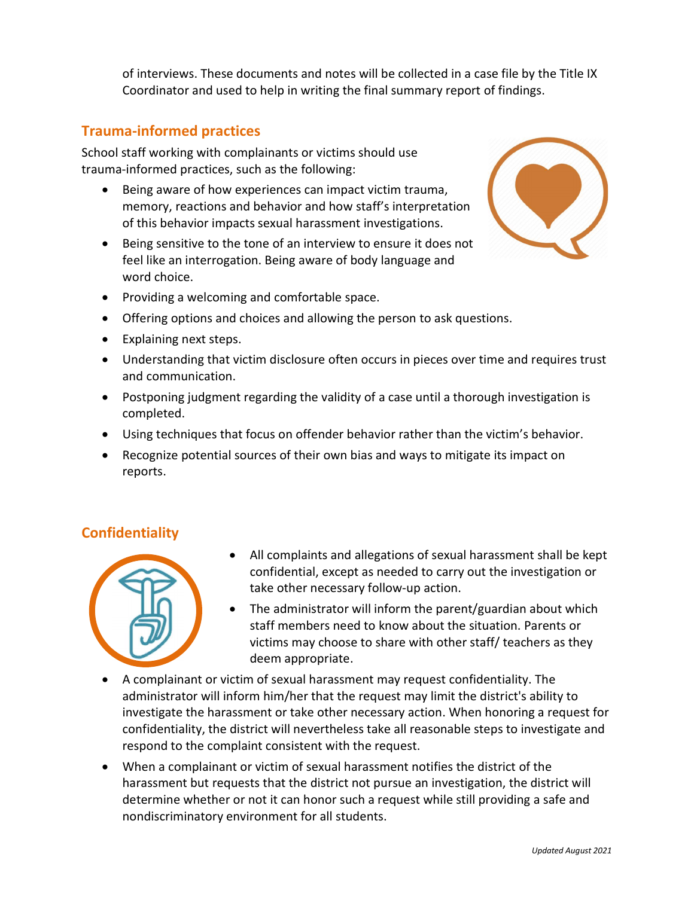of interviews. These documents and notes will be collected in a case file by the Title IX Coordinator and used to help in writing the final summary report of findings.

# Trauma-informed practices

School staff working with complainants or victims should use trauma-informed practices, such as the following:

- Being aware of how experiences can impact victim trauma, memory, reactions and behavior and how staff's interpretation of this behavior impacts sexual harassment investigations.
- Being sensitive to the tone of an interview to ensure it does not feel like an interrogation. Being aware of body language and word choice.



- Providing a welcoming and comfortable space.
- Offering options and choices and allowing the person to ask questions.
- Explaining next steps.
- Understanding that victim disclosure often occurs in pieces over time and requires trust and communication.
- Postponing judgment regarding the validity of a case until a thorough investigation is completed.
- Using techniques that focus on offender behavior rather than the victim's behavior.
- Recognize potential sources of their own bias and ways to mitigate its impact on reports.

# **Confidentiality**



- All complaints and allegations of sexual harassment shall be kept confidential, except as needed to carry out the investigation or take other necessary follow-up action.
- The administrator will inform the parent/guardian about which staff members need to know about the situation. Parents or victims may choose to share with other staff/ teachers as they deem appropriate.
- A complainant or victim of sexual harassment may request confidentiality. The administrator will inform him/her that the request may limit the district's ability to investigate the harassment or take other necessary action. When honoring a request for confidentiality, the district will nevertheless take all reasonable steps to investigate and respond to the complaint consistent with the request.
- When a complainant or victim of sexual harassment notifies the district of the harassment but requests that the district not pursue an investigation, the district will determine whether or not it can honor such a request while still providing a safe and nondiscriminatory environment for all students.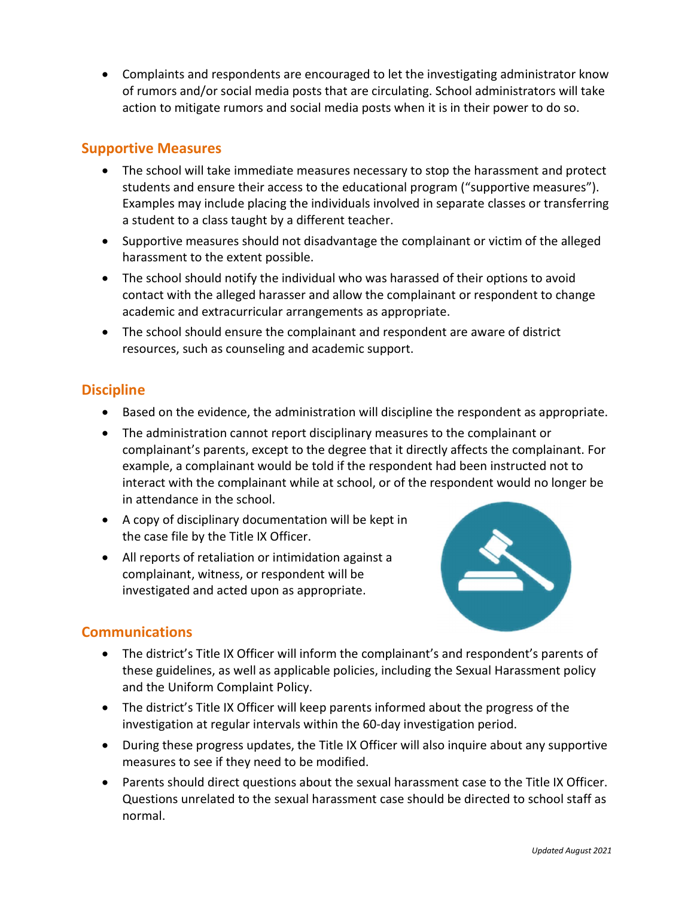Complaints and respondents are encouraged to let the investigating administrator know of rumors and/or social media posts that are circulating. School administrators will take action to mitigate rumors and social media posts when it is in their power to do so.

## Supportive Measures

- The school will take immediate measures necessary to stop the harassment and protect students and ensure their access to the educational program ("supportive measures"). Examples may include placing the individuals involved in separate classes or transferring a student to a class taught by a different teacher.
- Supportive measures should not disadvantage the complainant or victim of the alleged harassment to the extent possible.
- The school should notify the individual who was harassed of their options to avoid contact with the alleged harasser and allow the complainant or respondent to change academic and extracurricular arrangements as appropriate.
- The school should ensure the complainant and respondent are aware of district resources, such as counseling and academic support.

# **Discipline**

- Based on the evidence, the administration will discipline the respondent as appropriate.
- The administration cannot report disciplinary measures to the complainant or complainant's parents, except to the degree that it directly affects the complainant. For example, a complainant would be told if the respondent had been instructed not to interact with the complainant while at school, or of the respondent would no longer be in attendance in the school.
- A copy of disciplinary documentation will be kept in the case file by the Title IX Officer.
- All reports of retaliation or intimidation against a complainant, witness, or respondent will be investigated and acted upon as appropriate.



## **Communications**

- The district's Title IX Officer will inform the complainant's and respondent's parents of these guidelines, as well as applicable policies, including the Sexual Harassment policy and the Uniform Complaint Policy.
- The district's Title IX Officer will keep parents informed about the progress of the investigation at regular intervals within the 60-day investigation period.
- During these progress updates, the Title IX Officer will also inquire about any supportive measures to see if they need to be modified.
- Parents should direct questions about the sexual harassment case to the Title IX Officer. Questions unrelated to the sexual harassment case should be directed to school staff as normal.